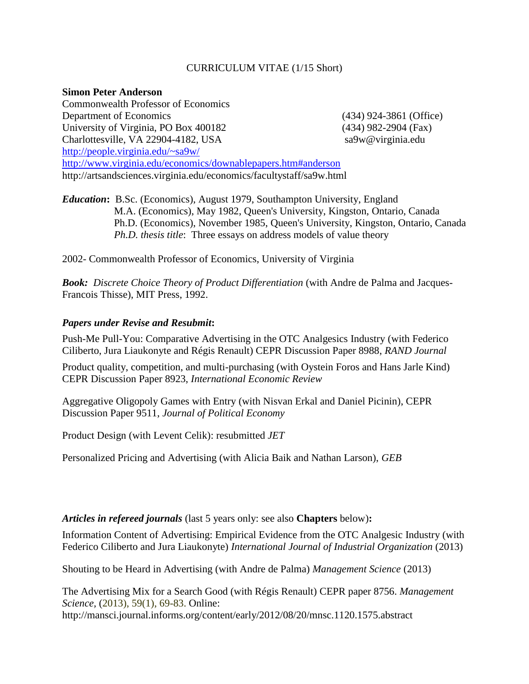# CURRICULUM VITAE (1/15 Short)

#### **Simon Peter Anderson**

Commonwealth Professor of Economics Department of Economics (434) 924-3861 (Office) University of Virginia, PO Box 400182 (434) 982-2904 (Fax) Charlottesville, VA 22904-4182, USA sa9w@virginia.edu http://people.virginia.edu/~sa9w/ http://www.virginia.edu/economics/downablepapers.htm#anderson http://artsandsciences.virginia.edu/economics/facultystaff/sa9w.html

*Education***:** B.Sc. (Economics), August 1979, Southampton University, England M.A. (Economics), May 1982, Queen's University, Kingston, Ontario, Canada Ph.D. (Economics), November 1985, Queen's University, Kingston, Ontario, Canada  *Ph.D. thesis title*: Three essays on address models of value theory

2002- Commonwealth Professor of Economics, University of Virginia

**Book:** Discrete Choice Theory of Product Differentiation (with Andre de Palma and Jacques-Francois Thisse), MIT Press, 1992.

# *Papers under Revise and Resubmit***:**

Push-Me Pull-You: Comparative Advertising in the OTC Analgesics Industry (with Federico Ciliberto, Jura Liaukonyte and Régis Renault) CEPR Discussion Paper 8988, *RAND Journal* 

Product quality, competition, and multi-purchasing (with Oystein Foros and Hans Jarle Kind) CEPR Discussion Paper 8923, *International Economic Review* 

Aggregative Oligopoly Games with Entry (with Nisvan Erkal and Daniel Picinin), CEPR Discussion Paper 9511, *Journal of Political Economy*

Product Design (with Levent Celik): resubmitted *JET*

Personalized Pricing and Advertising (with Alicia Baik and Nathan Larson), *GEB*

#### *Articles in refereed journals* (last 5 years only: see also **Chapters** below)**:**

Information Content of Advertising: Empirical Evidence from the OTC Analgesic Industry (with Federico Ciliberto and Jura Liaukonyte) *International Journal of Industrial Organization* (2013)

Shouting to be Heard in Advertising (with Andre de Palma) *Management Science* (2013)

The Advertising Mix for a Search Good (with Régis Renault) CEPR paper 8756. *Management Science,* (2013), 59(1), 69-83. Online: http://mansci.journal.informs.org/content/early/2012/08/20/mnsc.1120.1575.abstract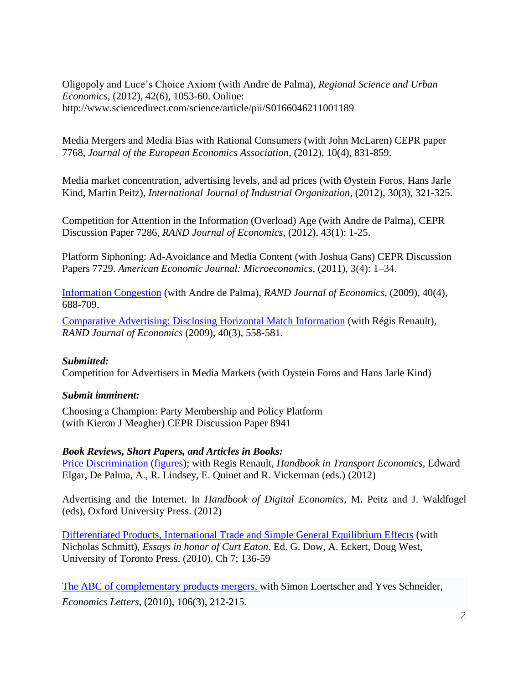Oligopoly and Luce's Choice Axiom (with Andre de Palma), *Regional Science and Urban Economics*, (2012), 42(6), 1053-60. Online: http://www.sciencedirect.com/science/article/pii/S0166046211001189

[Media Mergers and Media Bias with Rational Consumers](http://ideas.repec.org/p/cpr/ceprdp/7768.html) (with John McLaren) CEPR paper 7768*, Journal of the European Economics Association*, (2012), 10(4), 831-859.

Media market concentration, advertising levels, and ad prices (with Øystein Foros, Hans Jarle Kind, Martin Peitz), *International Journal of Industrial Organization*, (2012), 30(3), 321-325.

Competition for Attention in the Information (Overload) Age (with Andre de Palma), CEPR Discussion Paper 7286, *RAND Journal of Economics*, (2012), 43(1): 1-25.

[Platform Siphoning: Ad-Avoidance and Media Content](http://ideas.repec.org/p/cpr/ceprdp/7729.html) (with Joshua Gans) [CEPR Discussion](http://ideas.repec.org/s/cpr/ceprdp.html)  [Papers](http://ideas.repec.org/s/cpr/ceprdp.html) 7729. *American Economic Journal: Microeconomics*, (2011), 3(4): 1–34.

[Information Congestion](http://www.virginia.edu/economics/papers/anderson/info060628.pdf) (with Andre de Palma), *RAND Journal of Economics*, (2009), 40(4), 688-709.

[Comparative Advertising: Disclosing Horizontal Match Information](http://www.virginia.edu/economics/papers/anderson/compad061106.pdf) (with Régis Renault), *RAND Journal of Economics* (2009), 40(3), 558-581.

# *Submitted:*

Competition for Advertisers in Media Markets (with Oystein Foros and Hans Jarle Kind)

# *Submit imminent:*

Choosing a Champion: Party Membership and Policy Platform (with Kieron J Meagher) CEPR Discussion Paper 8941

# *Book Reviews, Short Papers, and Articles in Books:*

[Price Discrimination](file:///C:/Users/sa9w/Desktop/from%20Inspiron%20101210/papers/anderson/pricedisc080808.pdf) [\(figures\)](file:///C:/Users/sa9w/Desktop/from%20Inspiron%20101210/papers/anderson/tarifdisc_pics080313_edited.doc); with Regis Renault, *Handbook in Transport Economics*, Edward Elgar, De Palma, A., R. Lindsey, E. Quinet and R. Vickerman (eds.) (2012)

Advertising and the Internet. In *Handbook of Digital Economics*, M. Peitz and J. Waldfogel (eds), Oxford University Press. (2012)

[Differentiated Products, International Trade and Simple General Equilibrium Effects](file:///C:/Users/sa9w/Desktop/djb4c/Local%20Settings/Temporary%20Internet%20Files/Content.Outlook/papers/anderson/curtconf_june08.pdf) (with Nicholas Schmitt), *Essays in honor of Curt Eaton*, Ed. G. Dow, A. Eckert, Doug West, University of Toronto Press. (2010), Ch 7; 136-59

[The ABC of complementary products mergers,](file:///C:/Users/sa9w/Desktop/djb4c/Local%20Settings/Temporary%20Internet%20Files/Content.Outlook/0HA8F0OY/Anderson/ABC4EL081014.pdf) with Simon Loertscher and Yves Schneider, *Economics Letters*, (2010), 106(3), 212-215.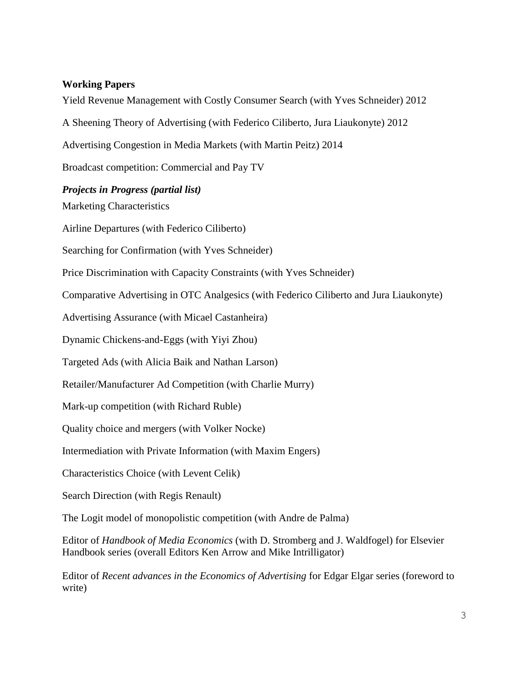# **Working Papers**

Yield Revenue Management with Costly Consumer Search (with Yves Schneider) 2012

A Sheening Theory of Advertising (with Federico Ciliberto, Jura Liaukonyte) 2012

Advertising Congestion in Media Markets (with Martin Peitz) 2014

Broadcast competition: Commercial and Pay TV

# *Projects in Progress (partial list)*

Marketing Characteristics

Airline Departures (with Federico Ciliberto)

Searching for Confirmation (with Yves Schneider)

Price Discrimination with Capacity Constraints (with Yves Schneider)

Comparative Advertising in OTC Analgesics (with Federico Ciliberto and Jura Liaukonyte)

Advertising Assurance (with Micael Castanheira)

Dynamic Chickens-and-Eggs (with Yiyi Zhou)

Targeted Ads (with Alicia Baik and Nathan Larson)

Retailer/Manufacturer Ad Competition (with Charlie Murry)

Mark-up competition (with Richard Ruble)

Quality choice and mergers (with Volker Nocke)

Intermediation with Private Information (with Maxim Engers)

Characteristics Choice (with Levent Celik)

Search Direction (with Regis Renault)

The Logit model of monopolistic competition (with Andre de Palma)

Editor of *Handbook of Media Economics* (with D. Stromberg and J. Waldfogel) for Elsevier Handbook series (overall Editors Ken Arrow and Mike Intrilligator)

Editor of *Recent advances in the Economics of Advertising* for Edgar Elgar series (foreword to write)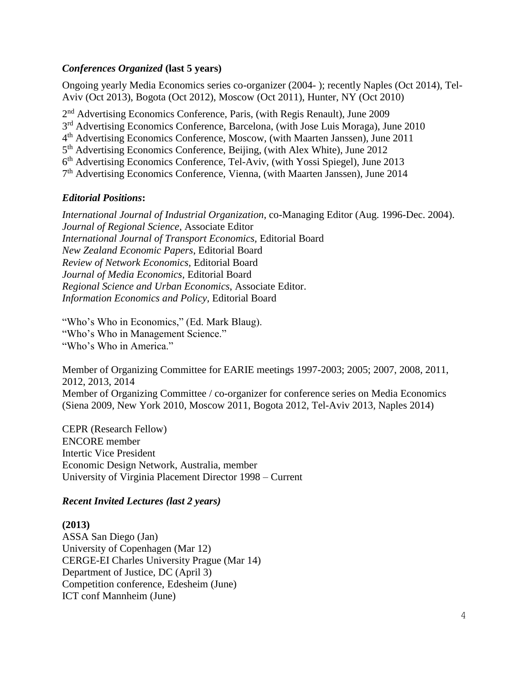# *Conferences Organized* **(last 5 years)**

Ongoing yearly Media Economics series co-organizer (2004- ); recently Naples (Oct 2014), Tel-Aviv (Oct 2013), Bogota (Oct 2012), Moscow (Oct 2011), Hunter, NY (Oct 2010)

2<sup>nd</sup> Advertising Economics Conference, Paris, (with Regis Renault), June 2009

3<sup>rd</sup> Advertising Economics Conference, Barcelona, (with Jose Luis Moraga), June 2010

4<sup>th</sup> Advertising Economics Conference, Moscow, (with Maarten Janssen), June 2011

5<sup>th</sup> Advertising Economics Conference, Beijing, (with Alex White), June 2012

6 th Advertising Economics Conference, Tel-Aviv, (with Yossi Spiegel), June 2013

7<sup>th</sup> Advertising Economics Conference, Vienna, (with Maarten Janssen), June 2014

# *Editorial Positions***:**

*International Journal of Industrial Organization*, co-Managing Editor (Aug. 1996-Dec. 2004). *Journal of Regional Science*, Associate Editor *International Journal of Transport Economics,* Editorial Board *New Zealand Economic Papers*, Editorial Board *Review of Network Economics,* Editorial Board *Journal of Media Economics,* Editorial Board *Regional Science and Urban Economics*, Associate Editor. *Information Economics and Policy,* Editorial Board

"Who's Who in Economics," (Ed. Mark Blaug). "Who's Who in Management Science." "Who's Who in America."

Member of Organizing Committee for EARIE meetings 1997-2003; 2005; 2007, 2008, 2011, 2012, 2013, 2014 Member of Organizing Committee / co-organizer for conference series on Media Economics (Siena 2009, New York 2010, Moscow 2011, Bogota 2012, Tel-Aviv 2013, Naples 2014)

CEPR (Research Fellow) ENCORE member Intertic Vice President Economic Design Network, Australia, member University of Virginia Placement Director 1998 – Current

# *Recent Invited Lectures (last 2 years)*

# **(2013)**

ASSA San Diego (Jan) University of Copenhagen (Mar 12) CERGE-EI Charles University Prague (Mar 14) Department of Justice, DC (April 3) Competition conference, Edesheim (June) ICT conf Mannheim (June)